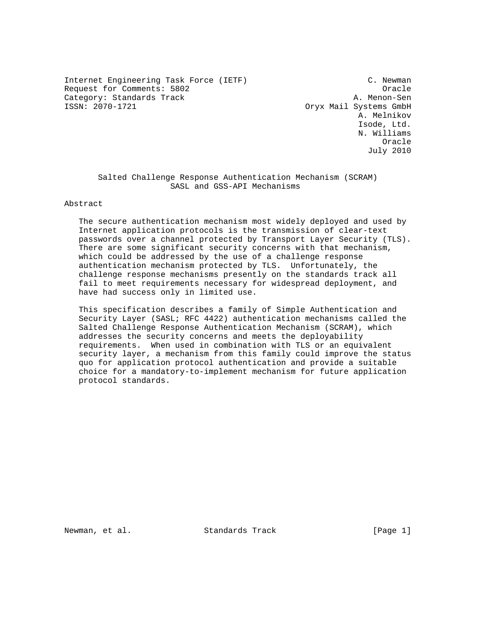Internet Engineering Task Force (IETF) C. Newman Request for Comments: 5802 Cracle 2014 Category: Standards Track and A. Menon-Sen<br>
SSN: 2070-1721 Cryx Mail Systems GmbH

Oryx Mail Systems GmbH A. Melnikov Isode, Ltd. N. Williams **Oracle** (1999) and the contract of the contract of the contract of the contract of the contract of the contract of the contract of the contract of the contract of the contract of the contract of the contract of the contra July 2010

 Salted Challenge Response Authentication Mechanism (SCRAM) SASL and GSS-API Mechanisms

Abstract

 The secure authentication mechanism most widely deployed and used by Internet application protocols is the transmission of clear-text passwords over a channel protected by Transport Layer Security (TLS). There are some significant security concerns with that mechanism, which could be addressed by the use of a challenge response authentication mechanism protected by TLS. Unfortunately, the challenge response mechanisms presently on the standards track all fail to meet requirements necessary for widespread deployment, and have had success only in limited use.

 This specification describes a family of Simple Authentication and Security Layer (SASL; RFC 4422) authentication mechanisms called the Salted Challenge Response Authentication Mechanism (SCRAM), which addresses the security concerns and meets the deployability requirements. When used in combination with TLS or an equivalent security layer, a mechanism from this family could improve the status quo for application protocol authentication and provide a suitable choice for a mandatory-to-implement mechanism for future application protocol standards.

Newman, et al. Standards Track [Page 1]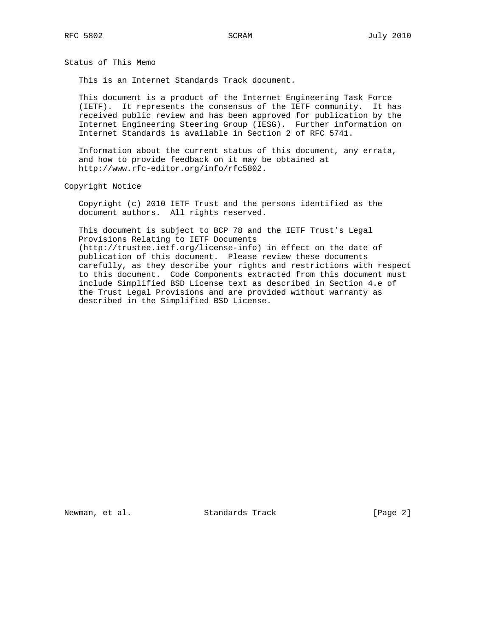Status of This Memo

This is an Internet Standards Track document.

 This document is a product of the Internet Engineering Task Force (IETF). It represents the consensus of the IETF community. It has received public review and has been approved for publication by the Internet Engineering Steering Group (IESG). Further information on Internet Standards is available in Section 2 of RFC 5741.

 Information about the current status of this document, any errata, and how to provide feedback on it may be obtained at http://www.rfc-editor.org/info/rfc5802.

Copyright Notice

 Copyright (c) 2010 IETF Trust and the persons identified as the document authors. All rights reserved.

 This document is subject to BCP 78 and the IETF Trust's Legal Provisions Relating to IETF Documents (http://trustee.ietf.org/license-info) in effect on the date of publication of this document. Please review these documents carefully, as they describe your rights and restrictions with respect to this document. Code Components extracted from this document must include Simplified BSD License text as described in Section 4.e of the Trust Legal Provisions and are provided without warranty as described in the Simplified BSD License.

Newman, et al. Standards Track [Page 2]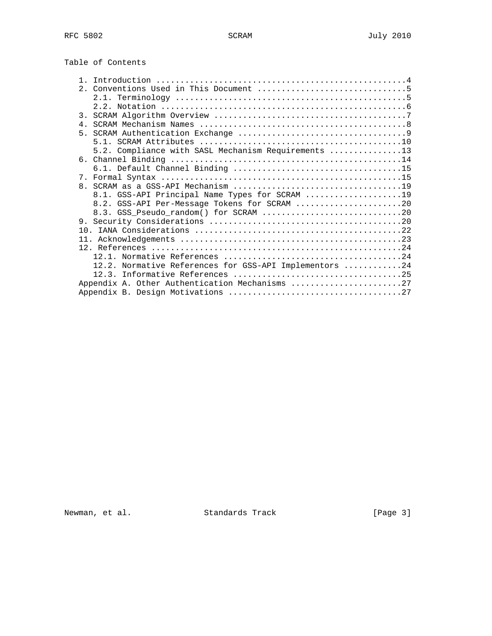| Table of Contents |  |
|-------------------|--|
|-------------------|--|

| 3.             |                                                        |
|----------------|--------------------------------------------------------|
| 4 <sub>1</sub> |                                                        |
| $5 -$          |                                                        |
|                |                                                        |
|                | 5.2. Compliance with SASL Mechanism Requirements 13    |
|                |                                                        |
|                |                                                        |
|                |                                                        |
|                |                                                        |
|                | 8.1. GSS-API Principal Name Types for SCRAM 19         |
|                | 8.2. GSS-API Per-Message Tokens for SCRAM 20           |
|                |                                                        |
|                |                                                        |
|                |                                                        |
|                |                                                        |
|                |                                                        |
|                |                                                        |
|                | 12.2. Normative References for GSS-API Implementors 24 |
|                |                                                        |
|                | Appendix A. Other Authentication Mechanisms 27         |
|                |                                                        |

Newman, et al. Standards Track [Page 3]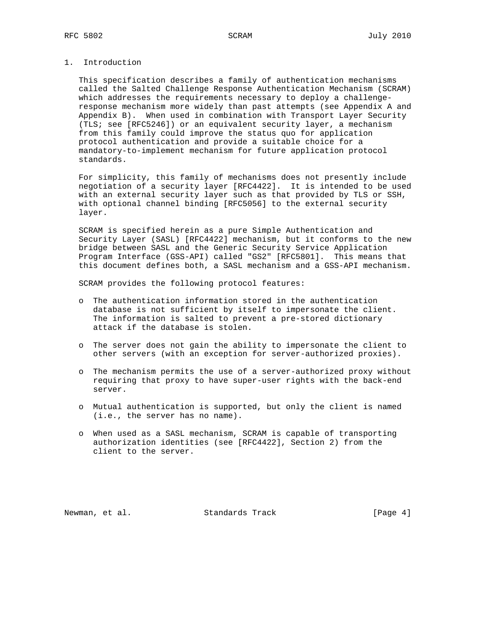## 1. Introduction

 This specification describes a family of authentication mechanisms called the Salted Challenge Response Authentication Mechanism (SCRAM) which addresses the requirements necessary to deploy a challenge response mechanism more widely than past attempts (see Appendix A and Appendix B). When used in combination with Transport Layer Security (TLS; see [RFC5246]) or an equivalent security layer, a mechanism from this family could improve the status quo for application protocol authentication and provide a suitable choice for a mandatory-to-implement mechanism for future application protocol standards.

 For simplicity, this family of mechanisms does not presently include negotiation of a security layer [RFC4422]. It is intended to be used with an external security layer such as that provided by TLS or SSH, with optional channel binding [RFC5056] to the external security layer.

 SCRAM is specified herein as a pure Simple Authentication and Security Layer (SASL) [RFC4422] mechanism, but it conforms to the new bridge between SASL and the Generic Security Service Application Program Interface (GSS-API) called "GS2" [RFC5801]. This means that this document defines both, a SASL mechanism and a GSS-API mechanism.

SCRAM provides the following protocol features:

- o The authentication information stored in the authentication database is not sufficient by itself to impersonate the client. The information is salted to prevent a pre-stored dictionary attack if the database is stolen.
- o The server does not gain the ability to impersonate the client to other servers (with an exception for server-authorized proxies).
- o The mechanism permits the use of a server-authorized proxy without requiring that proxy to have super-user rights with the back-end server.
- o Mutual authentication is supported, but only the client is named (i.e., the server has no name).
- o When used as a SASL mechanism, SCRAM is capable of transporting authorization identities (see [RFC4422], Section 2) from the client to the server.

Newman, et al. Standards Track [Page 4]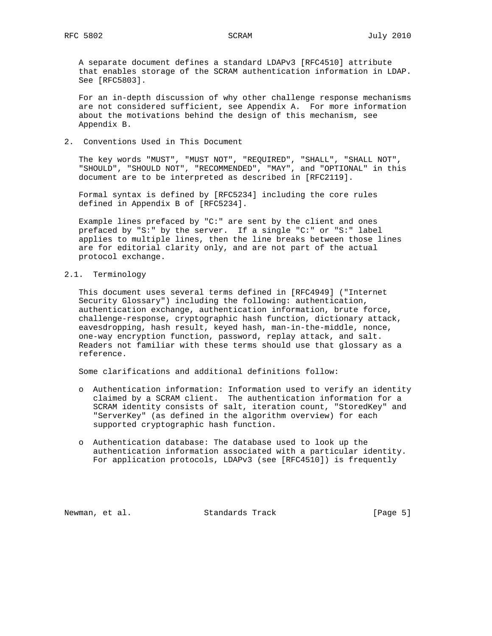A separate document defines a standard LDAPv3 [RFC4510] attribute that enables storage of the SCRAM authentication information in LDAP. See [RFC5803].

 For an in-depth discussion of why other challenge response mechanisms are not considered sufficient, see Appendix A. For more information about the motivations behind the design of this mechanism, see Appendix B.

2. Conventions Used in This Document

 The key words "MUST", "MUST NOT", "REQUIRED", "SHALL", "SHALL NOT", "SHOULD", "SHOULD NOT", "RECOMMENDED", "MAY", and "OPTIONAL" in this document are to be interpreted as described in [RFC2119].

 Formal syntax is defined by [RFC5234] including the core rules defined in Appendix B of [RFC5234].

 Example lines prefaced by "C:" are sent by the client and ones prefaced by "S:" by the server. If a single "C:" or "S:" label applies to multiple lines, then the line breaks between those lines are for editorial clarity only, and are not part of the actual protocol exchange.

2.1. Terminology

 This document uses several terms defined in [RFC4949] ("Internet Security Glossary") including the following: authentication, authentication exchange, authentication information, brute force, challenge-response, cryptographic hash function, dictionary attack, eavesdropping, hash result, keyed hash, man-in-the-middle, nonce, one-way encryption function, password, replay attack, and salt. Readers not familiar with these terms should use that glossary as a reference.

Some clarifications and additional definitions follow:

- o Authentication information: Information used to verify an identity claimed by a SCRAM client. The authentication information for a SCRAM identity consists of salt, iteration count, "StoredKey" and "ServerKey" (as defined in the algorithm overview) for each supported cryptographic hash function.
	- o Authentication database: The database used to look up the authentication information associated with a particular identity. For application protocols, LDAPv3 (see [RFC4510]) is frequently

Newman, et al. Standards Track [Page 5]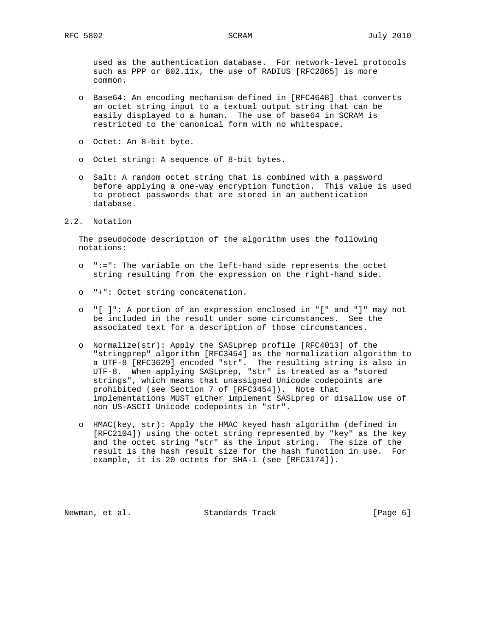used as the authentication database. For network-level protocols such as PPP or 802.11x, the use of RADIUS [RFC2865] is more common.

- o Base64: An encoding mechanism defined in [RFC4648] that converts an octet string input to a textual output string that can be easily displayed to a human. The use of base64 in SCRAM is restricted to the canonical form with no whitespace.
- o Octet: An 8-bit byte.
- o Octet string: A sequence of 8-bit bytes.
- o Salt: A random octet string that is combined with a password before applying a one-way encryption function. This value is used to protect passwords that are stored in an authentication database.
- 2.2. Notation

 The pseudocode description of the algorithm uses the following notations:

- o ":=": The variable on the left-hand side represents the octet string resulting from the expression on the right-hand side.
- o "+": Octet string concatenation.
- o "[ ]": A portion of an expression enclosed in "[" and "]" may not be included in the result under some circumstances. See the associated text for a description of those circumstances.
- o Normalize(str): Apply the SASLprep profile [RFC4013] of the "stringprep" algorithm [RFC3454] as the normalization algorithm to a UTF-8 [RFC3629] encoded "str". The resulting string is also in UTF-8. When applying SASLprep, "str" is treated as a "stored strings", which means that unassigned Unicode codepoints are prohibited (see Section 7 of [RFC3454]). Note that implementations MUST either implement SASLprep or disallow use of non US-ASCII Unicode codepoints in "str".
- o HMAC(key, str): Apply the HMAC keyed hash algorithm (defined in [RFC2104]) using the octet string represented by "key" as the key and the octet string "str" as the input string. The size of the result is the hash result size for the hash function in use. For example, it is 20 octets for SHA-1 (see [RFC3174]).

Newman, et al. Standards Track [Page 6]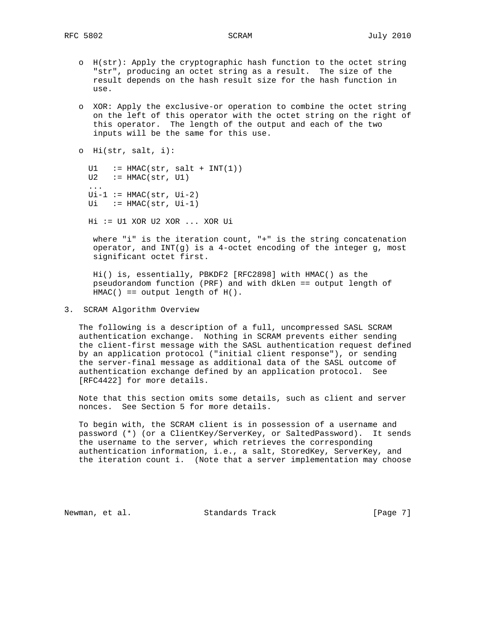- o H(str): Apply the cryptographic hash function to the octet string "str", producing an octet string as a result. The size of the result depends on the hash result size for the hash function in use.
- o XOR: Apply the exclusive-or operation to combine the octet string on the left of this operator with the octet string on the right of this operator. The length of the output and each of the two inputs will be the same for this use.

```
 o Hi(str, salt, i):
```

```
U1 := HMAC(str, salt + INT(1))U2 := HMAC(str, U1)
 ...
Ui-1 := HMAC(str, Ul-2)Ui := HMAC(str, Ui-1) Hi := U1 XOR U2 XOR ... XOR Ui
```
 where "i" is the iteration count, "+" is the string concatenation operator, and INT(g) is a 4-octet encoding of the integer g, most significant octet first.

 Hi() is, essentially, PBKDF2 [RFC2898] with HMAC() as the pseudorandom function (PRF) and with dkLen == output length of  $HMAC() == output length of H()$ .

3. SCRAM Algorithm Overview

 The following is a description of a full, uncompressed SASL SCRAM authentication exchange. Nothing in SCRAM prevents either sending the client-first message with the SASL authentication request defined by an application protocol ("initial client response"), or sending the server-final message as additional data of the SASL outcome of authentication exchange defined by an application protocol. See [RFC4422] for more details.

 Note that this section omits some details, such as client and server nonces. See Section 5 for more details.

 To begin with, the SCRAM client is in possession of a username and password (\*) (or a ClientKey/ServerKey, or SaltedPassword). It sends the username to the server, which retrieves the corresponding authentication information, i.e., a salt, StoredKey, ServerKey, and the iteration count i. (Note that a server implementation may choose

Newman, et al. Standards Track [Page 7]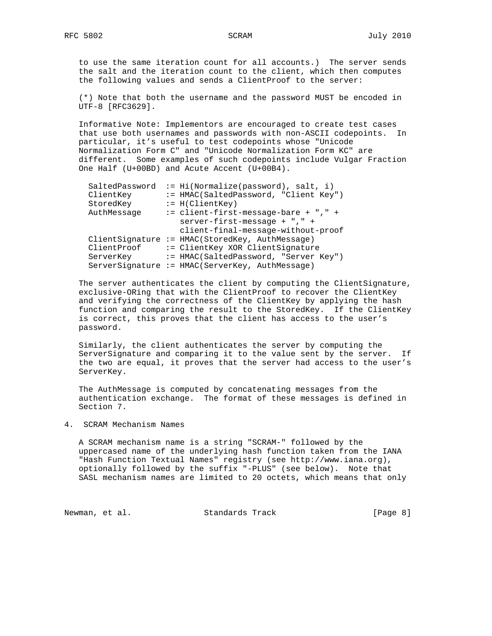to use the same iteration count for all accounts.) The server sends the salt and the iteration count to the client, which then computes the following values and sends a ClientProof to the server:

 (\*) Note that both the username and the password MUST be encoded in UTF-8 [RFC3629].

 Informative Note: Implementors are encouraged to create test cases that use both usernames and passwords with non-ASCII codepoints. In particular, it's useful to test codepoints whose "Unicode Normalization Form C" and "Unicode Normalization Form KC" are different. Some examples of such codepoints include Vulgar Fraction One Half (U+00BD) and Acute Accent (U+00B4).

| SaltedPassword | $:=$ Hi(Normalize(password), salt, i)           |
|----------------|-------------------------------------------------|
| ClientKey      | := HMAC(SaltedPassword, "Client Key")           |
| StoredKey      | $:= H(ClientKey)$                               |
| AuthMessage    | $:=$ client-first-message-bare + "," +          |
|                | server-first-message + "," +                    |
|                | client-final-message-without-proof              |
|                | ClientSignature := HMAC(StoredKey, AuthMessage) |
| ClientProof    | := ClientKey XOR ClientSignature                |
| ServerKey      | := HMAC(SaltedPassword, "Server Key")           |
|                | ServerSignature := HMAC(ServerKey, AuthMessage) |

 The server authenticates the client by computing the ClientSignature, exclusive-ORing that with the ClientProof to recover the ClientKey and verifying the correctness of the ClientKey by applying the hash function and comparing the result to the StoredKey. If the ClientKey is correct, this proves that the client has access to the user's password.

 Similarly, the client authenticates the server by computing the ServerSignature and comparing it to the value sent by the server. If the two are equal, it proves that the server had access to the user's ServerKey.

 The AuthMessage is computed by concatenating messages from the authentication exchange. The format of these messages is defined in Section 7.

### 4. SCRAM Mechanism Names

 A SCRAM mechanism name is a string "SCRAM-" followed by the uppercased name of the underlying hash function taken from the IANA "Hash Function Textual Names" registry (see http://www.iana.org), optionally followed by the suffix "-PLUS" (see below). Note that SASL mechanism names are limited to 20 octets, which means that only

Newman, et al. Standards Track [Page 8]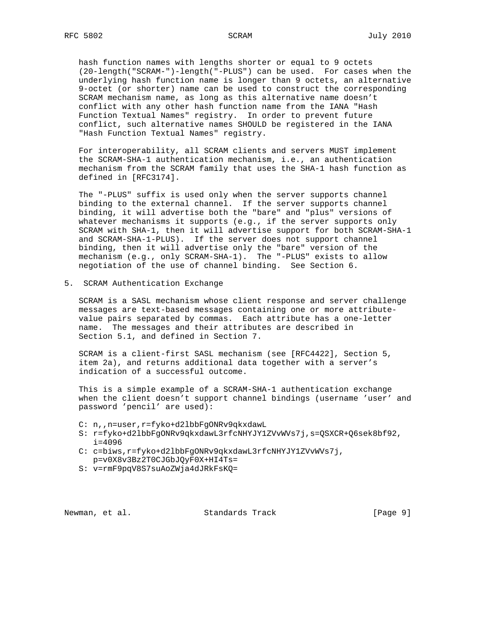hash function names with lengths shorter or equal to 9 octets (20-length("SCRAM-")-length("-PLUS") can be used. For cases when the underlying hash function name is longer than 9 octets, an alternative 9-octet (or shorter) name can be used to construct the corresponding SCRAM mechanism name, as long as this alternative name doesn't conflict with any other hash function name from the IANA "Hash Function Textual Names" registry. In order to prevent future conflict, such alternative names SHOULD be registered in the IANA "Hash Function Textual Names" registry.

 For interoperability, all SCRAM clients and servers MUST implement the SCRAM-SHA-1 authentication mechanism, i.e., an authentication mechanism from the SCRAM family that uses the SHA-1 hash function as defined in [RFC3174].

 The "-PLUS" suffix is used only when the server supports channel binding to the external channel. If the server supports channel binding, it will advertise both the "bare" and "plus" versions of whatever mechanisms it supports (e.g., if the server supports only SCRAM with SHA-1, then it will advertise support for both SCRAM-SHA-1 and SCRAM-SHA-1-PLUS). If the server does not support channel binding, then it will advertise only the "bare" version of the mechanism (e.g., only SCRAM-SHA-1). The "-PLUS" exists to allow negotiation of the use of channel binding. See Section 6.

5. SCRAM Authentication Exchange

 SCRAM is a SASL mechanism whose client response and server challenge messages are text-based messages containing one or more attribute value pairs separated by commas. Each attribute has a one-letter name. The messages and their attributes are described in Section 5.1, and defined in Section 7.

 SCRAM is a client-first SASL mechanism (see [RFC4422], Section 5, item 2a), and returns additional data together with a server's indication of a successful outcome.

 This is a simple example of a SCRAM-SHA-1 authentication exchange when the client doesn't support channel bindings (username 'user' and password 'pencil' are used):

- C: n,,n=user,r=fyko+d2lbbFgONRv9qkxdawL
- S: r=fyko+d2lbbFgONRv9qkxdawL3rfcNHYJY1ZVvWVs7j,s=QSXCR+Q6sek8bf92, i=4096
- C: c=biws,r=fyko+d2lbbFgONRv9qkxdawL3rfcNHYJY1ZVvWVs7j, p=v0X8v3Bz2T0CJGbJQyF0X+HI4Ts=
- S: v=rmF9pqV8S7suAoZWja4dJRkFsKQ=

Newman, et al. Standards Track [Page 9]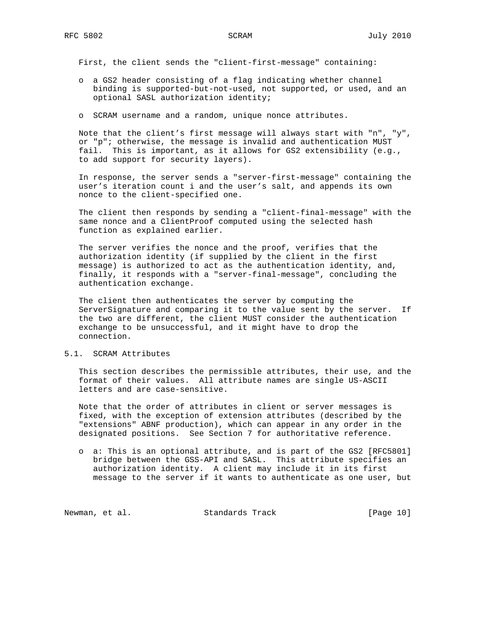First, the client sends the "client-first-message" containing:

- o a GS2 header consisting of a flag indicating whether channel binding is supported-but-not-used, not supported, or used, and an optional SASL authorization identity;
- o SCRAM username and a random, unique nonce attributes.

 Note that the client's first message will always start with "n", "y", or "p"; otherwise, the message is invalid and authentication MUST fail. This is important, as it allows for GS2 extensibility (e.g., to add support for security layers).

 In response, the server sends a "server-first-message" containing the user's iteration count i and the user's salt, and appends its own nonce to the client-specified one.

 The client then responds by sending a "client-final-message" with the same nonce and a ClientProof computed using the selected hash function as explained earlier.

 The server verifies the nonce and the proof, verifies that the authorization identity (if supplied by the client in the first message) is authorized to act as the authentication identity, and, finally, it responds with a "server-final-message", concluding the authentication exchange.

 The client then authenticates the server by computing the ServerSignature and comparing it to the value sent by the server. If the two are different, the client MUST consider the authentication exchange to be unsuccessful, and it might have to drop the connection.

### 5.1. SCRAM Attributes

 This section describes the permissible attributes, their use, and the format of their values. All attribute names are single US-ASCII letters and are case-sensitive.

 Note that the order of attributes in client or server messages is fixed, with the exception of extension attributes (described by the "extensions" ABNF production), which can appear in any order in the designated positions. See Section 7 for authoritative reference.

 o a: This is an optional attribute, and is part of the GS2 [RFC5801] bridge between the GSS-API and SASL. This attribute specifies an authorization identity. A client may include it in its first message to the server if it wants to authenticate as one user, but

Newman, et al. Standards Track [Page 10]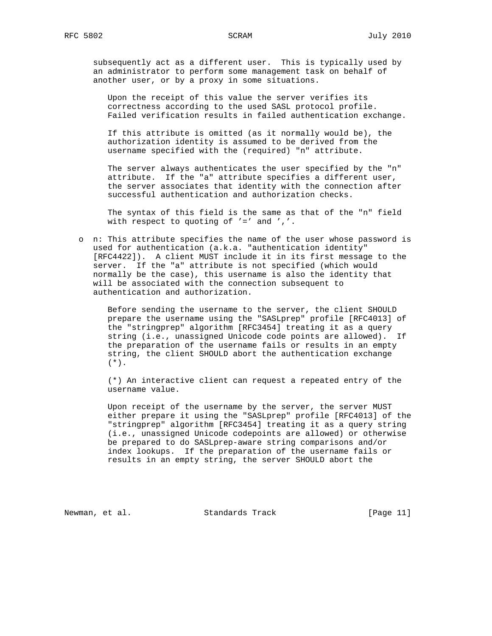subsequently act as a different user. This is typically used by an administrator to perform some management task on behalf of another user, or by a proxy in some situations.

 Upon the receipt of this value the server verifies its correctness according to the used SASL protocol profile. Failed verification results in failed authentication exchange.

 If this attribute is omitted (as it normally would be), the authorization identity is assumed to be derived from the username specified with the (required) "n" attribute.

 The server always authenticates the user specified by the "n" attribute. If the "a" attribute specifies a different user, the server associates that identity with the connection after successful authentication and authorization checks.

 The syntax of this field is the same as that of the "n" field with respect to quoting of  $'='$  and  $', '$ .

 o n: This attribute specifies the name of the user whose password is used for authentication (a.k.a. "authentication identity" [RFC4422]). A client MUST include it in its first message to the server. If the "a" attribute is not specified (which would normally be the case), this username is also the identity that will be associated with the connection subsequent to authentication and authorization.

 Before sending the username to the server, the client SHOULD prepare the username using the "SASLprep" profile [RFC4013] of the "stringprep" algorithm [RFC3454] treating it as a query string (i.e., unassigned Unicode code points are allowed). If the preparation of the username fails or results in an empty string, the client SHOULD abort the authentication exchange  $(*).$ 

 (\*) An interactive client can request a repeated entry of the username value.

 Upon receipt of the username by the server, the server MUST either prepare it using the "SASLprep" profile [RFC4013] of the "stringprep" algorithm [RFC3454] treating it as a query string (i.e., unassigned Unicode codepoints are allowed) or otherwise be prepared to do SASLprep-aware string comparisons and/or index lookups. If the preparation of the username fails or results in an empty string, the server SHOULD abort the

Newman, et al. Standards Track [Page 11]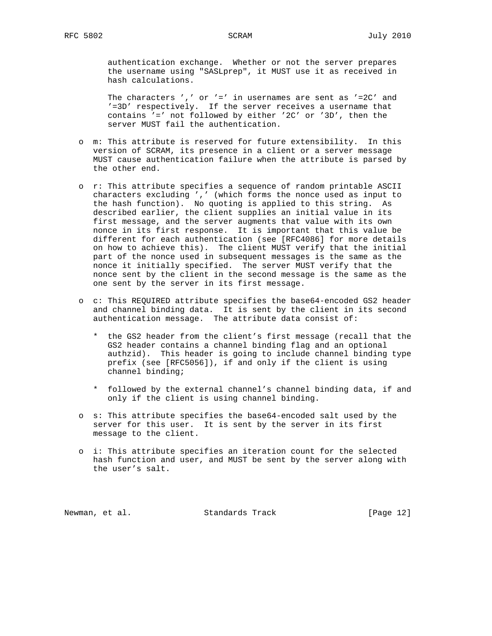authentication exchange. Whether or not the server prepares the username using "SASLprep", it MUST use it as received in hash calculations.

The characters ',' or '=' in usernames are sent as '=2C' and '=3D' respectively. If the server receives a username that contains '=' not followed by either '2C' or '3D', then the server MUST fail the authentication.

- o m: This attribute is reserved for future extensibility. In this version of SCRAM, its presence in a client or a server message MUST cause authentication failure when the attribute is parsed by the other end.
- o r: This attribute specifies a sequence of random printable ASCII characters excluding ',' (which forms the nonce used as input to the hash function). No quoting is applied to this string. As described earlier, the client supplies an initial value in its first message, and the server augments that value with its own nonce in its first response. It is important that this value be different for each authentication (see [RFC4086] for more details on how to achieve this). The client MUST verify that the initial part of the nonce used in subsequent messages is the same as the nonce it initially specified. The server MUST verify that the nonce sent by the client in the second message is the same as the one sent by the server in its first message.
- o c: This REQUIRED attribute specifies the base64-encoded GS2 header and channel binding data. It is sent by the client in its second authentication message. The attribute data consist of:
	- \* the GS2 header from the client's first message (recall that the GS2 header contains a channel binding flag and an optional authzid). This header is going to include channel binding type prefix (see [RFC5056]), if and only if the client is using channel binding;
	- \* followed by the external channel's channel binding data, if and only if the client is using channel binding.
- o s: This attribute specifies the base64-encoded salt used by the server for this user. It is sent by the server in its first message to the client.
- o i: This attribute specifies an iteration count for the selected hash function and user, and MUST be sent by the server along with the user's salt.

Newman, et al. Standards Track [Page 12]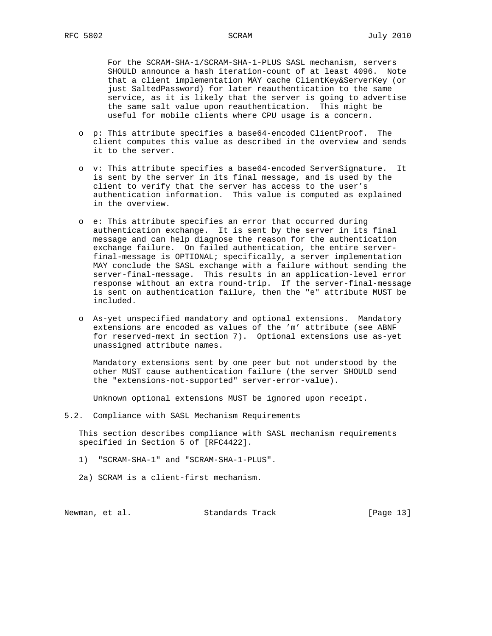For the SCRAM-SHA-1/SCRAM-SHA-1-PLUS SASL mechanism, servers SHOULD announce a hash iteration-count of at least 4096. Note that a client implementation MAY cache ClientKey&ServerKey (or just SaltedPassword) for later reauthentication to the same service, as it is likely that the server is going to advertise the same salt value upon reauthentication. This might be useful for mobile clients where CPU usage is a concern.

- o p: This attribute specifies a base64-encoded ClientProof. The client computes this value as described in the overview and sends it to the server.
- o v: This attribute specifies a base64-encoded ServerSignature. It is sent by the server in its final message, and is used by the client to verify that the server has access to the user's authentication information. This value is computed as explained in the overview.
- o e: This attribute specifies an error that occurred during authentication exchange. It is sent by the server in its final message and can help diagnose the reason for the authentication exchange failure. On failed authentication, the entire server final-message is OPTIONAL; specifically, a server implementation MAY conclude the SASL exchange with a failure without sending the server-final-message. This results in an application-level error response without an extra round-trip. If the server-final-message is sent on authentication failure, then the "e" attribute MUST be included.
- o As-yet unspecified mandatory and optional extensions. Mandatory extensions are encoded as values of the 'm' attribute (see ABNF for reserved-mext in section 7). Optional extensions use as-yet unassigned attribute names.

 Mandatory extensions sent by one peer but not understood by the other MUST cause authentication failure (the server SHOULD send the "extensions-not-supported" server-error-value).

Unknown optional extensions MUST be ignored upon receipt.

5.2. Compliance with SASL Mechanism Requirements

 This section describes compliance with SASL mechanism requirements specified in Section 5 of [RFC4422].

- 1) "SCRAM-SHA-1" and "SCRAM-SHA-1-PLUS".
- 2a) SCRAM is a client-first mechanism.

Newman, et al. Standards Track [Page 13]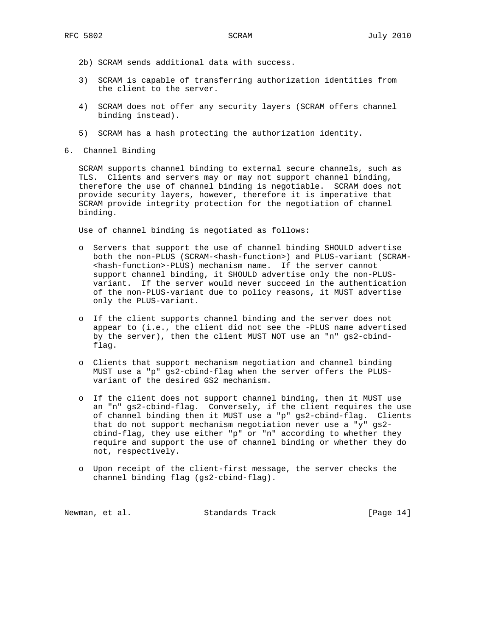- 2b) SCRAM sends additional data with success.
- 3) SCRAM is capable of transferring authorization identities from the client to the server.
- 4) SCRAM does not offer any security layers (SCRAM offers channel binding instead).
- 5) SCRAM has a hash protecting the authorization identity.
- 6. Channel Binding

 SCRAM supports channel binding to external secure channels, such as TLS. Clients and servers may or may not support channel binding, therefore the use of channel binding is negotiable. SCRAM does not provide security layers, however, therefore it is imperative that SCRAM provide integrity protection for the negotiation of channel binding.

Use of channel binding is negotiated as follows:

- o Servers that support the use of channel binding SHOULD advertise both the non-PLUS (SCRAM-<hash-function>) and PLUS-variant (SCRAM- <hash-function>-PLUS) mechanism name. If the server cannot support channel binding, it SHOULD advertise only the non-PLUS variant. If the server would never succeed in the authentication of the non-PLUS-variant due to policy reasons, it MUST advertise only the PLUS-variant.
- o If the client supports channel binding and the server does not appear to (i.e., the client did not see the -PLUS name advertised by the server), then the client MUST NOT use an "n" gs2-cbind flag.
- o Clients that support mechanism negotiation and channel binding MUST use a "p" gs2-cbind-flag when the server offers the PLUS variant of the desired GS2 mechanism.
- o If the client does not support channel binding, then it MUST use an "n" gs2-cbind-flag. Conversely, if the client requires the use of channel binding then it MUST use a "p" gs2-cbind-flag. Clients that do not support mechanism negotiation never use a "y" gs2 cbind-flag, they use either "p" or "n" according to whether they require and support the use of channel binding or whether they do not, respectively.
- o Upon receipt of the client-first message, the server checks the channel binding flag (gs2-cbind-flag).

| Standards Track<br>Newman, et al. | [Page 14] |
|-----------------------------------|-----------|
|-----------------------------------|-----------|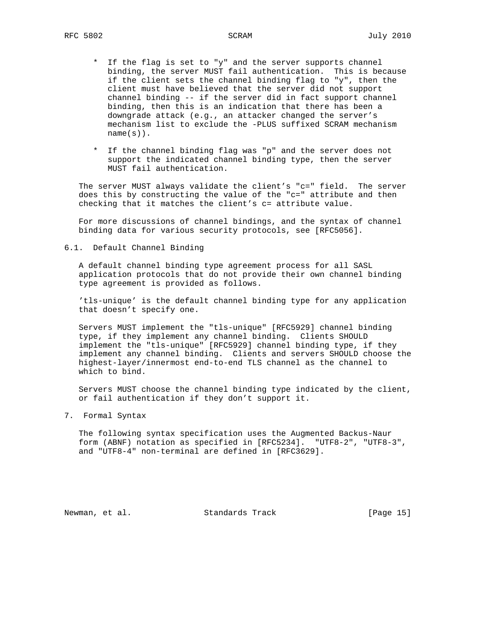- \* If the flag is set to "y" and the server supports channel binding, the server MUST fail authentication. This is because if the client sets the channel binding flag to "y", then the client must have believed that the server did not support channel binding -- if the server did in fact support channel binding, then this is an indication that there has been a downgrade attack (e.g., an attacker changed the server's mechanism list to exclude the -PLUS suffixed SCRAM mechanism name(s)).
- \* If the channel binding flag was "p" and the server does not support the indicated channel binding type, then the server MUST fail authentication.

 The server MUST always validate the client's "c=" field. The server does this by constructing the value of the "c=" attribute and then checking that it matches the client's c= attribute value.

 For more discussions of channel bindings, and the syntax of channel binding data for various security protocols, see [RFC5056].

6.1. Default Channel Binding

 A default channel binding type agreement process for all SASL application protocols that do not provide their own channel binding type agreement is provided as follows.

 'tls-unique' is the default channel binding type for any application that doesn't specify one.

 Servers MUST implement the "tls-unique" [RFC5929] channel binding type, if they implement any channel binding. Clients SHOULD implement the "tls-unique" [RFC5929] channel binding type, if they implement any channel binding. Clients and servers SHOULD choose the highest-layer/innermost end-to-end TLS channel as the channel to which to bind.

 Servers MUST choose the channel binding type indicated by the client, or fail authentication if they don't support it.

7. Formal Syntax

 The following syntax specification uses the Augmented Backus-Naur form (ABNF) notation as specified in [RFC5234]. "UTF8-2", "UTF8-3", and "UTF8-4" non-terminal are defined in [RFC3629].

Newman, et al. Standards Track [Page 15]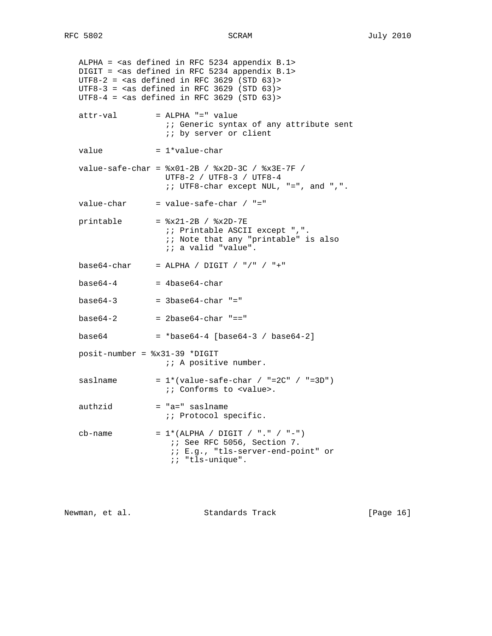ALPHA = <as defined in RFC 5234 appendix B.1> DIGIT = <as defined in RFC 5234 appendix B.1> UTF8-2 =  $\langle$ as defined in RFC 3629 (STD 63) >  $UTF8-3 = [as](#safe-as) defined in RFC 3629 (STD 63)$  $UTF8-4 = \text{cas defined in RFC } 3629 \text{ (STD } 63)$  $attr-val$  = ALPHA "=" value *i*; Generic syntax of any attribute sent ;; by server or client value  $= 1*$ value-char value-safe-char = %x01-2B / %x2D-3C / %x3E-7F / UTF8-2 / UTF8-3 / UTF8-4 ;; UTF8-char except NUL, "=", and ",".  $value$ -char = value-safe-char / "="  $printable$  =  $x21-2B / x2D-7E$  ;; Printable ASCII except ",". ;; Note that any "printable" is also ;; a valid "value".  $base64-char = ALPHA / DIGIT / "/* " + "$  $base64-4$  =  $4base64-char$  $base64-3$  =  $3base64-char$  "="  $base64-2$  =  $2base64-char$  "=="  $base64 = *base64-4 [base64-3 / base64-2]$  posit-number = %x31-39 \*DIGIT ;; A positive number. saslname  $= 1*(value-safe-char / "=2C" / "=3D")$  ;; Conforms to <value>. authzid = "a=" saslname ;; Protocol specific. cb-name =  $1*(ALPHA / DIGIT / "." / "-")$  ;; See RFC 5056, Section 7. ;; E.g., "tls-server-end-point" or ;; "tls-unique".

Newman, et al. Standards Track [Page 16]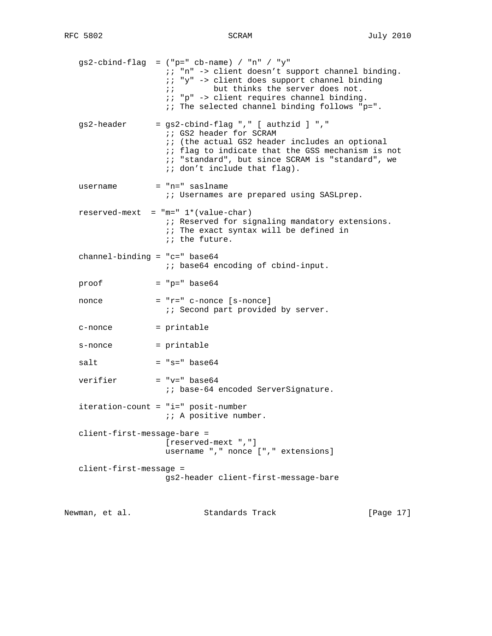|                                 | $gs2$ -cbind-flag = ("p=" cb-name) / "n" / "y"<br>;; "n" -> client doesn't support channel binding.<br>ii "y" -> client does support channel binding<br>but thinks the server does not.<br>$\ddot{i}$<br>:: "p" -> client requires channel binding.<br>: : The selected channel binding follows "p=". |           |
|---------------------------------|-------------------------------------------------------------------------------------------------------------------------------------------------------------------------------------------------------------------------------------------------------------------------------------------------------|-----------|
| gs2-header                      | = gs2-cbind-flag "," [ authzid ] ","<br>;; GS2 header for SCRAM<br><i>ii</i> (the actual GS2 header includes an optional<br>:: flag to indicate that the GSS mechanism is not<br><i>i</i> ; "standard", but since SCRAM is "standard", we<br>$i:$ don't include that flag).                           |           |
| username                        | $=$ "n=" saslname<br><i>i</i> Usernames are prepared using SASLprep.                                                                                                                                                                                                                                  |           |
|                                 | $reserved-mext = "m=" 1*(value-char)$<br>:: Reserved for signaling mandatory extensions.<br><i>i</i> ; The exact syntax will be defined in<br><i>ii</i> the future.                                                                                                                                   |           |
| channel-binding = $"c="$ base64 | :: base64 encoding of cbind-input.                                                                                                                                                                                                                                                                    |           |
| proof                           | $= "p=" base64"$                                                                                                                                                                                                                                                                                      |           |
| nonce                           | $= "r=' c-nonce [s-nonce]$<br><i>i</i> i Second part provided by server.                                                                                                                                                                                                                              |           |
| c-nonce                         | = printable                                                                                                                                                                                                                                                                                           |           |
| s-nonce                         | = printable                                                                                                                                                                                                                                                                                           |           |
| salt                            | $= "s=" base64$                                                                                                                                                                                                                                                                                       |           |
| verifier                        | $= "v=" base64"$<br><i>i</i> i base-64 encoded ServerSignature.                                                                                                                                                                                                                                       |           |
|                                 | iteration-count = "i=" posit-number<br><i>i:</i> A positive number.                                                                                                                                                                                                                                   |           |
| client-first-message-bare =     | [reserved-mext ", "]<br>username ", " nonce [", " extensions]                                                                                                                                                                                                                                         |           |
| client-first-message =          | gs2-header client-first-message-bare                                                                                                                                                                                                                                                                  |           |
| Newman, et al.                  | Standards Track                                                                                                                                                                                                                                                                                       | [Page 17] |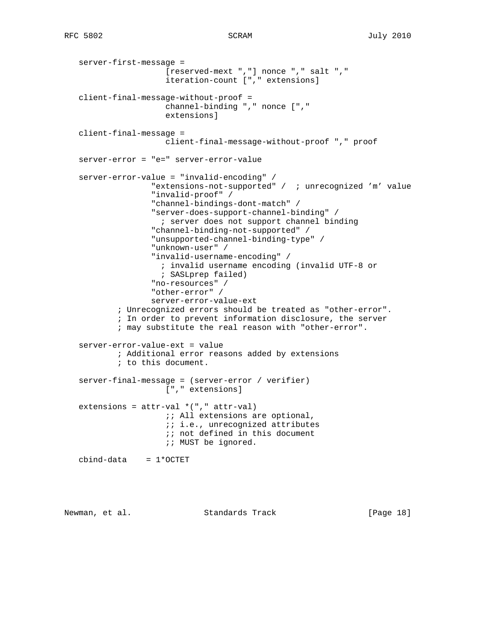```
 server-first-message =
 [reserved-mext ","] nonce "," salt ","
 iteration-count ["," extensions]
   client-final-message-without-proof =
                     channel-binding "," nonce [","
                     extensions]
   client-final-message =
                     client-final-message-without-proof "," proof
   server-error = "e=" server-error-value
   server-error-value = "invalid-encoding" /
                  "extensions-not-supported" / ; unrecognized 'm' value
                  "invalid-proof" /
                  "channel-bindings-dont-match" /
                  "server-does-support-channel-binding" /
                    ; server does not support channel binding
                  "channel-binding-not-supported" /
                  "unsupported-channel-binding-type" /
                  "unknown-user" /
                  "invalid-username-encoding" /
                    ; invalid username encoding (invalid UTF-8 or
                    ; SASLprep failed)
                  "no-resources" /
                   "other-error" /
                  server-error-value-ext
           ; Unrecognized errors should be treated as "other-error".
           ; In order to prevent information disclosure, the server
           ; may substitute the real reason with "other-error".
   server-error-value-ext = value
           ; Additional error reasons added by extensions
           ; to this document.
   server-final-message = (server-error / verifier)
                     ["," extensions]
  extensions = attr-val * ("," attr-val);; All extensions are optional,
                      ;; i.e., unrecognized attributes
                    ;; not defined in this document
                     ;; MUST be ignored.
  cbind-data = 1*OCTET
```
Newman, et al. Standards Track [Page 18]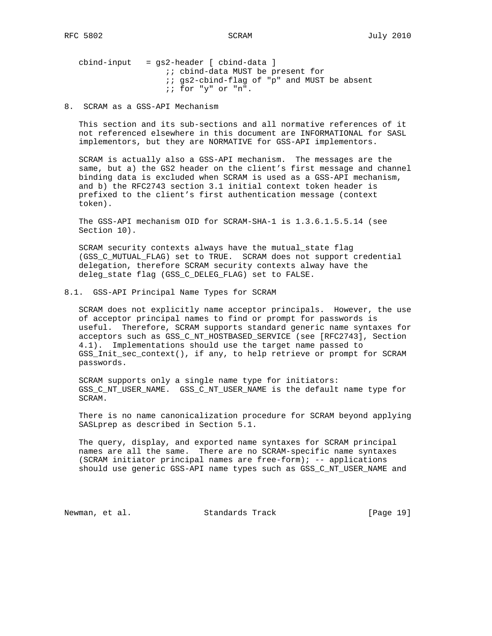cbind-input = gs2-header [ cbind-data ] *i*; cbind-data MUST be present for  $i$ ; gs2-cbind-flag of "p" and MUST be absent ;; for "y" or "n".

8. SCRAM as a GSS-API Mechanism

 This section and its sub-sections and all normative references of it not referenced elsewhere in this document are INFORMATIONAL for SASL implementors, but they are NORMATIVE for GSS-API implementors.

 SCRAM is actually also a GSS-API mechanism. The messages are the same, but a) the GS2 header on the client's first message and channel binding data is excluded when SCRAM is used as a GSS-API mechanism, and b) the RFC2743 section 3.1 initial context token header is prefixed to the client's first authentication message (context token).

 The GSS-API mechanism OID for SCRAM-SHA-1 is 1.3.6.1.5.5.14 (see Section 10).

 SCRAM security contexts always have the mutual\_state flag (GSS\_C\_MUTUAL\_FLAG) set to TRUE. SCRAM does not support credential delegation, therefore SCRAM security contexts alway have the deleg\_state flag (GSS\_C\_DELEG\_FLAG) set to FALSE.

8.1. GSS-API Principal Name Types for SCRAM

 SCRAM does not explicitly name acceptor principals. However, the use of acceptor principal names to find or prompt for passwords is useful. Therefore, SCRAM supports standard generic name syntaxes for acceptors such as GSS\_C\_NT\_HOSTBASED\_SERVICE (see [RFC2743], Section 4.1). Implementations should use the target name passed to GSS\_Init\_sec\_context(), if any, to help retrieve or prompt for SCRAM passwords.

 SCRAM supports only a single name type for initiators: GSS\_C\_NT\_USER\_NAME. GSS\_C\_NT\_USER\_NAME is the default name type for SCRAM.

 There is no name canonicalization procedure for SCRAM beyond applying SASLprep as described in Section 5.1.

 The query, display, and exported name syntaxes for SCRAM principal names are all the same. There are no SCRAM-specific name syntaxes (SCRAM initiator principal names are free-form); -- applications should use generic GSS-API name types such as GSS\_C\_NT\_USER\_NAME and

Newman, et al. Standards Track [Page 19]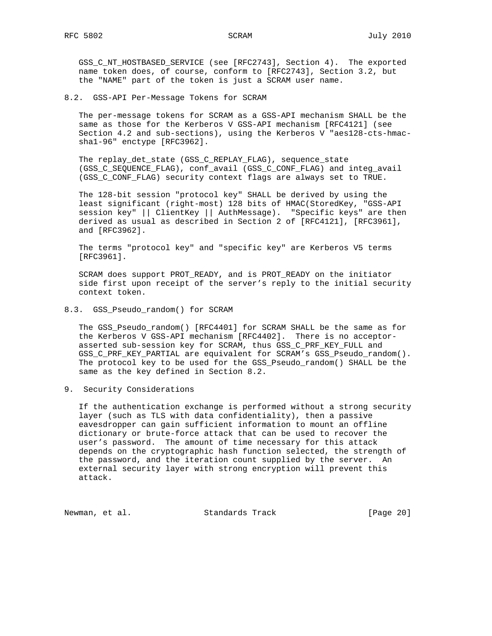GSS\_C\_NT\_HOSTBASED\_SERVICE (see [RFC2743], Section 4). The exported name token does, of course, conform to [RFC2743], Section 3.2, but the "NAME" part of the token is just a SCRAM user name.

8.2. GSS-API Per-Message Tokens for SCRAM

 The per-message tokens for SCRAM as a GSS-API mechanism SHALL be the same as those for the Kerberos V GSS-API mechanism [RFC4121] (see Section 4.2 and sub-sections), using the Kerberos V "aes128-cts-hmac sha1-96" enctype [RFC3962].

 The replay\_det\_state (GSS\_C\_REPLAY\_FLAG), sequence\_state (GSS C SEQUENCE FLAG), conf avail (GSS C CONF FLAG) and integ avail (GSS\_C\_CONF\_FLAG) security context flags are always set to TRUE.

 The 128-bit session "protocol key" SHALL be derived by using the least significant (right-most) 128 bits of HMAC(StoredKey, "GSS-API session key" || ClientKey || AuthMessage). "Specific keys" are then derived as usual as described in Section 2 of [RFC4121], [RFC3961], and [RFC3962].

 The terms "protocol key" and "specific key" are Kerberos V5 terms [RFC3961].

 SCRAM does support PROT\_READY, and is PROT\_READY on the initiator side first upon receipt of the server's reply to the initial security context token.

8.3. GSS\_Pseudo\_random() for SCRAM

 The GSS\_Pseudo\_random() [RFC4401] for SCRAM SHALL be the same as for the Kerberos V GSS-API mechanism [RFC4402]. There is no acceptor asserted sub-session key for SCRAM, thus GSS\_C\_PRF\_KEY\_FULL and GSS\_C\_PRF\_KEY\_PARTIAL are equivalent for SCRAM's GSS\_Pseudo\_random(). The protocol key to be used for the GSS\_Pseudo\_random() SHALL be the same as the key defined in Section 8.2.

9. Security Considerations

 If the authentication exchange is performed without a strong security layer (such as TLS with data confidentiality), then a passive eavesdropper can gain sufficient information to mount an offline dictionary or brute-force attack that can be used to recover the user's password. The amount of time necessary for this attack depends on the cryptographic hash function selected, the strength of the password, and the iteration count supplied by the server. An external security layer with strong encryption will prevent this attack.

Newman, et al. Standards Track [Page 20]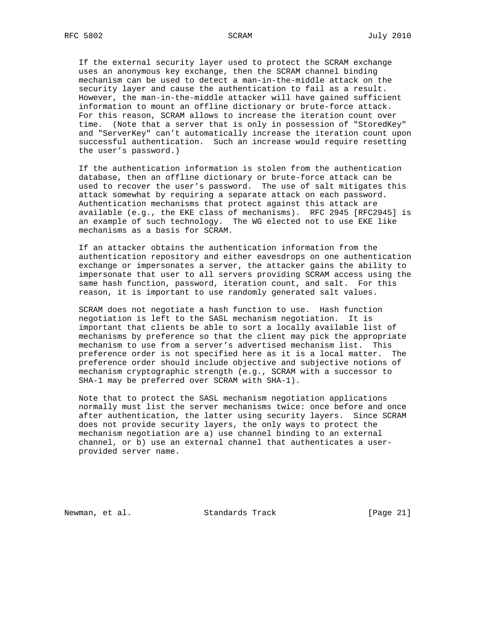If the external security layer used to protect the SCRAM exchange uses an anonymous key exchange, then the SCRAM channel binding mechanism can be used to detect a man-in-the-middle attack on the security layer and cause the authentication to fail as a result. However, the man-in-the-middle attacker will have gained sufficient information to mount an offline dictionary or brute-force attack. For this reason, SCRAM allows to increase the iteration count over time. (Note that a server that is only in possession of "StoredKey" and "ServerKey" can't automatically increase the iteration count upon successful authentication. Such an increase would require resetting the user's password.)

 If the authentication information is stolen from the authentication database, then an offline dictionary or brute-force attack can be used to recover the user's password. The use of salt mitigates this attack somewhat by requiring a separate attack on each password. Authentication mechanisms that protect against this attack are available (e.g., the EKE class of mechanisms). RFC 2945 [RFC2945] is an example of such technology. The WG elected not to use EKE like mechanisms as a basis for SCRAM.

 If an attacker obtains the authentication information from the authentication repository and either eavesdrops on one authentication exchange or impersonates a server, the attacker gains the ability to impersonate that user to all servers providing SCRAM access using the same hash function, password, iteration count, and salt. For this reason, it is important to use randomly generated salt values.

 SCRAM does not negotiate a hash function to use. Hash function negotiation is left to the SASL mechanism negotiation. It is important that clients be able to sort a locally available list of mechanisms by preference so that the client may pick the appropriate mechanism to use from a server's advertised mechanism list. This preference order is not specified here as it is a local matter. The preference order should include objective and subjective notions of mechanism cryptographic strength (e.g., SCRAM with a successor to SHA-1 may be preferred over SCRAM with SHA-1).

 Note that to protect the SASL mechanism negotiation applications normally must list the server mechanisms twice: once before and once after authentication, the latter using security layers. Since SCRAM does not provide security layers, the only ways to protect the mechanism negotiation are a) use channel binding to an external channel, or b) use an external channel that authenticates a user provided server name.

Newman, et al. Standards Track [Page 21]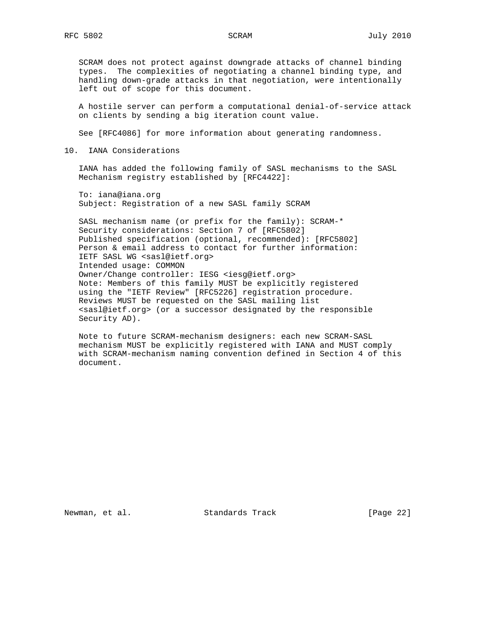SCRAM does not protect against downgrade attacks of channel binding types. The complexities of negotiating a channel binding type, and handling down-grade attacks in that negotiation, were intentionally left out of scope for this document.

 A hostile server can perform a computational denial-of-service attack on clients by sending a big iteration count value.

See [RFC4086] for more information about generating randomness.

10. IANA Considerations

 IANA has added the following family of SASL mechanisms to the SASL Mechanism registry established by [RFC4422]:

 To: iana@iana.org Subject: Registration of a new SASL family SCRAM

 SASL mechanism name (or prefix for the family): SCRAM-\* Security considerations: Section 7 of [RFC5802] Published specification (optional, recommended): [RFC5802] Person & email address to contact for further information: IETF SASL WG <sasl@ietf.org> Intended usage: COMMON Owner/Change controller: IESG <iesg@ietf.org> Note: Members of this family MUST be explicitly registered using the "IETF Review" [RFC5226] registration procedure. Reviews MUST be requested on the SASL mailing list <sasl@ietf.org> (or a successor designated by the responsible Security AD).

 Note to future SCRAM-mechanism designers: each new SCRAM-SASL mechanism MUST be explicitly registered with IANA and MUST comply with SCRAM-mechanism naming convention defined in Section 4 of this document.

Newman, et al. Standards Track [Page 22]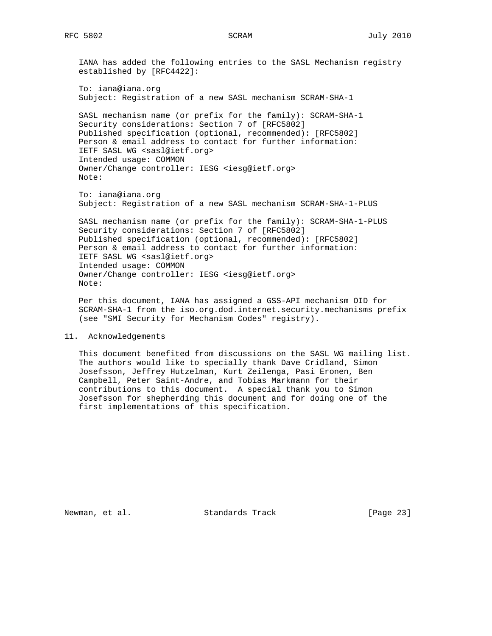IANA has added the following entries to the SASL Mechanism registry established by [RFC4422]: To: iana@iana.org Subject: Registration of a new SASL mechanism SCRAM-SHA-1 SASL mechanism name (or prefix for the family): SCRAM-SHA-1 Security considerations: Section 7 of [RFC5802] Published specification (optional, recommended): [RFC5802] Person & email address to contact for further information: IETF SASL WG <sasl@ietf.org> Intended usage: COMMON Owner/Change controller: IESG <iesg@ietf.org> Note: To: iana@iana.org

Subject: Registration of a new SASL mechanism SCRAM-SHA-1-PLUS

 SASL mechanism name (or prefix for the family): SCRAM-SHA-1-PLUS Security considerations: Section 7 of [RFC5802] Published specification (optional, recommended): [RFC5802] Person & email address to contact for further information: IETF SASL WG <sasl@ietf.org> Intended usage: COMMON Owner/Change controller: IESG <iesg@ietf.org> Note:

 Per this document, IANA has assigned a GSS-API mechanism OID for SCRAM-SHA-1 from the iso.org.dod.internet.security.mechanisms prefix (see "SMI Security for Mechanism Codes" registry).

### 11. Acknowledgements

 This document benefited from discussions on the SASL WG mailing list. The authors would like to specially thank Dave Cridland, Simon Josefsson, Jeffrey Hutzelman, Kurt Zeilenga, Pasi Eronen, Ben Campbell, Peter Saint-Andre, and Tobias Markmann for their contributions to this document. A special thank you to Simon Josefsson for shepherding this document and for doing one of the first implementations of this specification.

Newman, et al. Standards Track [Page 23]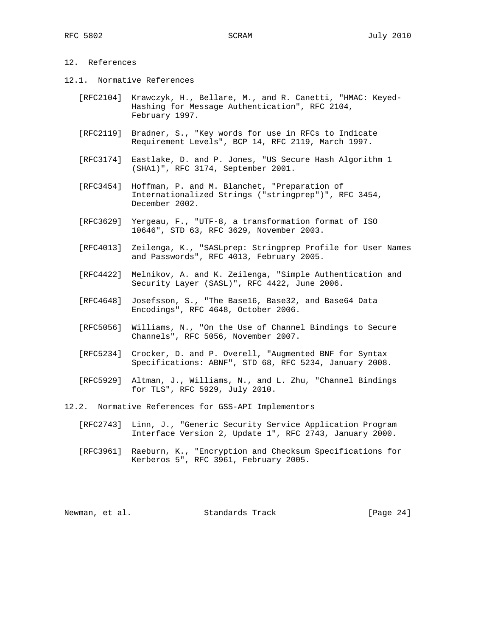# 12. References

- 12.1. Normative References
	- [RFC2104] Krawczyk, H., Bellare, M., and R. Canetti, "HMAC: Keyed- Hashing for Message Authentication", RFC 2104, February 1997.
	- [RFC2119] Bradner, S., "Key words for use in RFCs to Indicate Requirement Levels", BCP 14, RFC 2119, March 1997.
	- [RFC3174] Eastlake, D. and P. Jones, "US Secure Hash Algorithm 1 (SHA1)", RFC 3174, September 2001.
	- [RFC3454] Hoffman, P. and M. Blanchet, "Preparation of Internationalized Strings ("stringprep")", RFC 3454, December 2002.
	- [RFC3629] Yergeau, F., "UTF-8, a transformation format of ISO 10646", STD 63, RFC 3629, November 2003.
	- [RFC4013] Zeilenga, K., "SASLprep: Stringprep Profile for User Names and Passwords", RFC 4013, February 2005.
	- [RFC4422] Melnikov, A. and K. Zeilenga, "Simple Authentication and Security Layer (SASL)", RFC 4422, June 2006.
	- [RFC4648] Josefsson, S., "The Base16, Base32, and Base64 Data Encodings", RFC 4648, October 2006.
	- [RFC5056] Williams, N., "On the Use of Channel Bindings to Secure Channels", RFC 5056, November 2007.
	- [RFC5234] Crocker, D. and P. Overell, "Augmented BNF for Syntax Specifications: ABNF", STD 68, RFC 5234, January 2008.
	- [RFC5929] Altman, J., Williams, N., and L. Zhu, "Channel Bindings for TLS", RFC 5929, July 2010.
- 12.2. Normative References for GSS-API Implementors
	- [RFC2743] Linn, J., "Generic Security Service Application Program Interface Version 2, Update 1", RFC 2743, January 2000.
	- [RFC3961] Raeburn, K., "Encryption and Checksum Specifications for Kerberos 5", RFC 3961, February 2005.

Newman, et al. Standards Track [Page 24]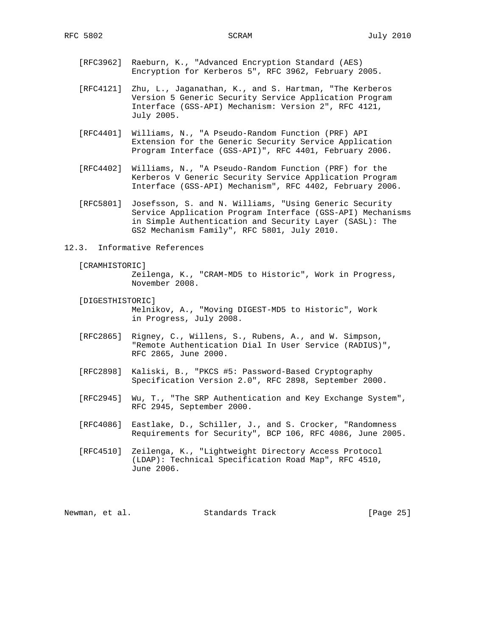- [RFC3962] Raeburn, K., "Advanced Encryption Standard (AES) Encryption for Kerberos 5", RFC 3962, February 2005.
- [RFC4121] Zhu, L., Jaganathan, K., and S. Hartman, "The Kerberos Version 5 Generic Security Service Application Program Interface (GSS-API) Mechanism: Version 2", RFC 4121, July 2005.
- [RFC4401] Williams, N., "A Pseudo-Random Function (PRF) API Extension for the Generic Security Service Application Program Interface (GSS-API)", RFC 4401, February 2006.
- [RFC4402] Williams, N., "A Pseudo-Random Function (PRF) for the Kerberos V Generic Security Service Application Program Interface (GSS-API) Mechanism", RFC 4402, February 2006.
- [RFC5801] Josefsson, S. and N. Williams, "Using Generic Security Service Application Program Interface (GSS-API) Mechanisms in Simple Authentication and Security Layer (SASL): The GS2 Mechanism Family", RFC 5801, July 2010.
- 12.3. Informative References
	- [CRAMHISTORIC]

 Zeilenga, K., "CRAM-MD5 to Historic", Work in Progress, November 2008.

- [DIGESTHISTORIC] Melnikov, A., "Moving DIGEST-MD5 to Historic", Work in Progress, July 2008.
- [RFC2865] Rigney, C., Willens, S., Rubens, A., and W. Simpson, "Remote Authentication Dial In User Service (RADIUS)", RFC 2865, June 2000.
- [RFC2898] Kaliski, B., "PKCS #5: Password-Based Cryptography Specification Version 2.0", RFC 2898, September 2000.
- [RFC2945] Wu, T., "The SRP Authentication and Key Exchange System", RFC 2945, September 2000.
- [RFC4086] Eastlake, D., Schiller, J., and S. Crocker, "Randomness Requirements for Security", BCP 106, RFC 4086, June 2005.
- [RFC4510] Zeilenga, K., "Lightweight Directory Access Protocol (LDAP): Technical Specification Road Map", RFC 4510, June 2006.

| [Page 25]<br>Standards Track<br>Newman, et al. |  |
|------------------------------------------------|--|
|------------------------------------------------|--|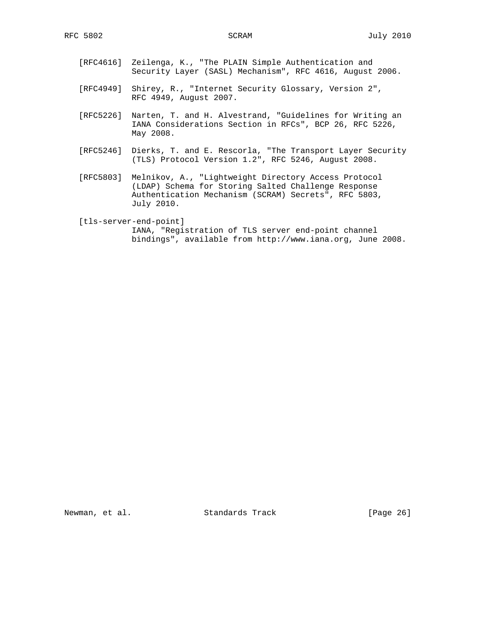- [RFC4616] Zeilenga, K., "The PLAIN Simple Authentication and Security Layer (SASL) Mechanism", RFC 4616, August 2006.
- [RFC4949] Shirey, R., "Internet Security Glossary, Version 2", RFC 4949, August 2007.
- [RFC5226] Narten, T. and H. Alvestrand, "Guidelines for Writing an IANA Considerations Section in RFCs", BCP 26, RFC 5226, May 2008.
- [RFC5246] Dierks, T. and E. Rescorla, "The Transport Layer Security (TLS) Protocol Version 1.2", RFC 5246, August 2008.
- [RFC5803] Melnikov, A., "Lightweight Directory Access Protocol (LDAP) Schema for Storing Salted Challenge Response Authentication Mechanism (SCRAM) Secrets", RFC 5803, July 2010.
- [tls-server-end-point] IANA, "Registration of TLS server end-point channel bindings", available from http://www.iana.org, June 2008.

Newman, et al. Standards Track [Page 26]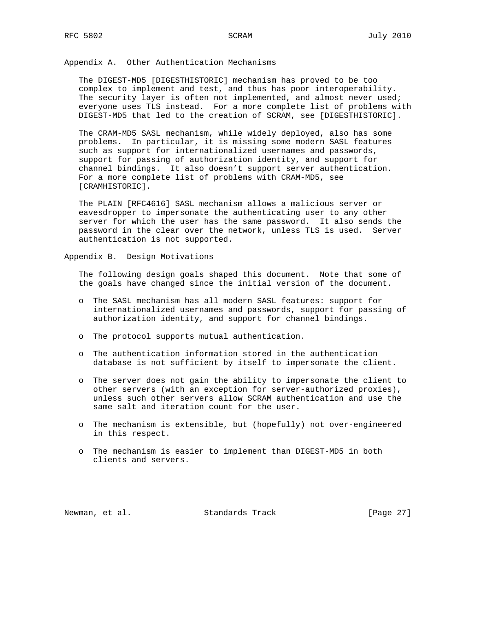Appendix A. Other Authentication Mechanisms

 The DIGEST-MD5 [DIGESTHISTORIC] mechanism has proved to be too complex to implement and test, and thus has poor interoperability. The security layer is often not implemented, and almost never used; everyone uses TLS instead. For a more complete list of problems with DIGEST-MD5 that led to the creation of SCRAM, see [DIGESTHISTORIC].

 The CRAM-MD5 SASL mechanism, while widely deployed, also has some problems. In particular, it is missing some modern SASL features such as support for internationalized usernames and passwords, support for passing of authorization identity, and support for channel bindings. It also doesn't support server authentication. For a more complete list of problems with CRAM-MD5, see [CRAMHISTORIC].

 The PLAIN [RFC4616] SASL mechanism allows a malicious server or eavesdropper to impersonate the authenticating user to any other server for which the user has the same password. It also sends the password in the clear over the network, unless TLS is used. Server authentication is not supported.

Appendix B. Design Motivations

 The following design goals shaped this document. Note that some of the goals have changed since the initial version of the document.

- o The SASL mechanism has all modern SASL features: support for internationalized usernames and passwords, support for passing of authorization identity, and support for channel bindings.
- o The protocol supports mutual authentication.
- o The authentication information stored in the authentication database is not sufficient by itself to impersonate the client.
- o The server does not gain the ability to impersonate the client to other servers (with an exception for server-authorized proxies), unless such other servers allow SCRAM authentication and use the same salt and iteration count for the user.
- o The mechanism is extensible, but (hopefully) not over-engineered in this respect.
- o The mechanism is easier to implement than DIGEST-MD5 in both clients and servers.

Newman, et al. Standards Track [Page 27]